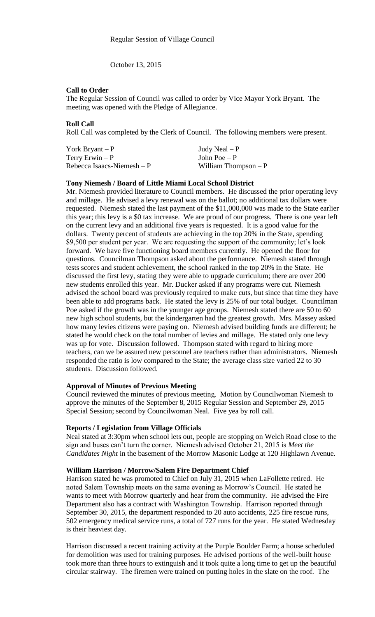October 13, 2015

## **Call to Order**

The Regular Session of Council was called to order by Vice Mayor York Bryant. The meeting was opened with the Pledge of Allegiance.

# **Roll Call**

Roll Call was completed by the Clerk of Council. The following members were present.

| York Bryant $-P$            | Judy Neal $-P$        |
|-----------------------------|-----------------------|
| Terry Erwin $-P$            | John Poe $-P$         |
| Rebecca Isaacs-Niemesh $-P$ | William Thompson $-P$ |

#### **Tony Niemesh / Board of Little Miami Local School District**

Mr. Niemesh provided literature to Council members. He discussed the prior operating levy and millage. He advised a levy renewal was on the ballot; no additional tax dollars were requested. Niemesh stated the last payment of the \$11,000,000 was made to the State earlier this year; this levy is a \$0 tax increase. We are proud of our progress. There is one year left on the current levy and an additional five years is requested. It is a good value for the dollars. Twenty percent of students are achieving in the top 20% in the State, spending \$9,500 per student per year. We are requesting the support of the community; let's look forward. We have five functioning board members currently. He opened the floor for questions. Councilman Thompson asked about the performance. Niemesh stated through tests scores and student achievement, the school ranked in the top 20% in the State. He discussed the first levy, stating they were able to upgrade curriculum; there are over 200 new students enrolled this year. Mr. Ducker asked if any programs were cut. Niemesh advised the school board was previously required to make cuts, but since that time they have been able to add programs back. He stated the levy is 25% of our total budget. Councilman Poe asked if the growth was in the younger age groups. Niemesh stated there are 50 to 60 new high school students, but the kindergarten had the greatest growth. Mrs. Massey asked how many levies citizens were paying on. Niemesh advised building funds are different; he stated he would check on the total number of levies and millage. He stated only one levy was up for vote. Discussion followed. Thompson stated with regard to hiring more teachers, can we be assured new personnel are teachers rather than administrators. Niemesh responded the ratio is low compared to the State; the average class size varied 22 to 30 students. Discussion followed.

### **Approval of Minutes of Previous Meeting**

Council reviewed the minutes of previous meeting. Motion by Councilwoman Niemesh to approve the minutes of the September 8, 2015 Regular Session and September 29, 2015 Special Session; second by Councilwoman Neal. Five yea by roll call.

#### **Reports / Legislation from Village Officials**

Neal stated at 3:30pm when school lets out, people are stopping on Welch Road close to the sign and buses can't turn the corner. Niemesh advised October 21, 2015 is *Meet the Candidates Night* in the basement of the Morrow Masonic Lodge at 120 Highlawn Avenue.

#### **William Harrison / Morrow/Salem Fire Department Chief**

Harrison stated he was promoted to Chief on July 31, 2015 when LaFollette retired. He noted Salem Township meets on the same evening as Morrow's Council. He stated he wants to meet with Morrow quarterly and hear from the community. He advised the Fire Department also has a contract with Washington Township. Harrison reported through September 30, 2015, the department responded to 20 auto accidents, 225 fire rescue runs, 502 emergency medical service runs, a total of 727 runs for the year. He stated Wednesday is their heaviest day.

Harrison discussed a recent training activity at the Purple Boulder Farm; a house scheduled for demolition was used for training purposes. He advised portions of the well-built house took more than three hours to extinguish and it took quite a long time to get up the beautiful circular stairway. The firemen were trained on putting holes in the slate on the roof. The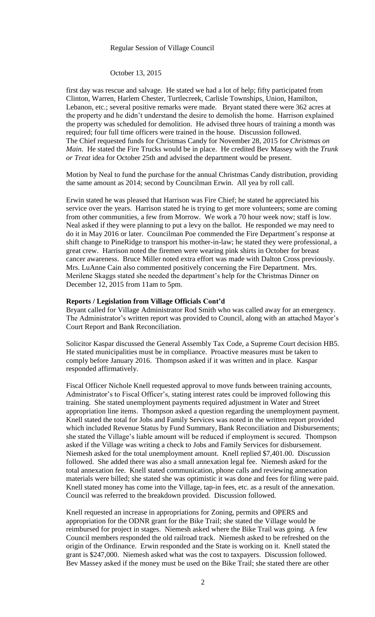## Regular Session of Village Council

#### October 13, 2015

first day was rescue and salvage. He stated we had a lot of help; fifty participated from Clinton, Warren, Harlem Chester, Turtlecreek, Carlisle Townships, Union, Hamilton, Lebanon, etc.; several positive remarks were made. Bryant stated there were 362 acres at the property and he didn't understand the desire to demolish the home. Harrison explained the property was scheduled for demolition. He advised three hours of training a month was required; four full time officers were trained in the house. Discussion followed. The Chief requested funds for Christmas Candy for November 28, 2015 for *Christmas on Main*. He stated the Fire Trucks would be in place. He credited Bev Massey with the *Trunk or Treat* idea for October 25th and advised the department would be present.

Motion by Neal to fund the purchase for the annual Christmas Candy distribution, providing the same amount as 2014; second by Councilman Erwin. All yea by roll call.

Erwin stated he was pleased that Harrison was Fire Chief; he stated he appreciated his service over the years. Harrison stated he is trying to get more volunteers; some are coming from other communities, a few from Morrow. We work a 70 hour week now; staff is low. Neal asked if they were planning to put a levy on the ballot. He responded we may need to do it in May 2016 or later. Councilman Poe commended the Fire Department's response at shift change to PineRidge to transport his mother-in-law; he stated they were professional, a great crew. Harrison noted the firemen were wearing pink shirts in October for breast cancer awareness. Bruce Miller noted extra effort was made with Dalton Cross previously. Mrs. LuAnne Cain also commented positively concerning the Fire Department. Mrs. Merilene Skaggs stated she needed the department's help for the Christmas Dinner on December 12, 2015 from 11am to 5pm.

#### **Reports / Legislation from Village Officials Cont'd**

Bryant called for Village Administrator Rod Smith who was called away for an emergency. The Administrator's written report was provided to Council, along with an attached Mayor's Court Report and Bank Reconciliation.

Solicitor Kaspar discussed the General Assembly Tax Code, a Supreme Court decision HB5. He stated municipalities must be in compliance. Proactive measures must be taken to comply before January 2016. Thompson asked if it was written and in place. Kaspar responded affirmatively.

Fiscal Officer Nichole Knell requested approval to move funds between training accounts, Administrator's to Fiscal Officer's, stating interest rates could be improved following this training. She stated unemployment payments required adjustment in Water and Street appropriation line items. Thompson asked a question regarding the unemployment payment. Knell stated the total for Jobs and Family Services was noted in the written report provided which included Revenue Status by Fund Summary, Bank Reconciliation and Disbursements; she stated the Village's liable amount will be reduced if employment is secured. Thompson asked if the Village was writing a check to Jobs and Family Services for disbursement. Niemesh asked for the total unemployment amount. Knell replied \$7,401.00. Discussion followed. She added there was also a small annexation legal fee. Niemesh asked for the total annexation fee. Knell stated communication, phone calls and reviewing annexation materials were billed; she stated she was optimistic it was done and fees for filing were paid. Knell stated money has come into the Village, tap-in fees, etc. as a result of the annexation. Council was referred to the breakdown provided. Discussion followed.

Knell requested an increase in appropriations for Zoning, permits and OPERS and appropriation for the ODNR grant for the Bike Trail; she stated the Village would be reimbursed for project in stages. Niemesh asked where the Bike Trail was going. A few Council members responded the old railroad track. Niemesh asked to be refreshed on the origin of the Ordinance. Erwin responded and the State is working on it. Knell stated the grant is \$247,000. Niemesh asked what was the cost to taxpayers. Discussion followed. Bev Massey asked if the money must be used on the Bike Trail; she stated there are other